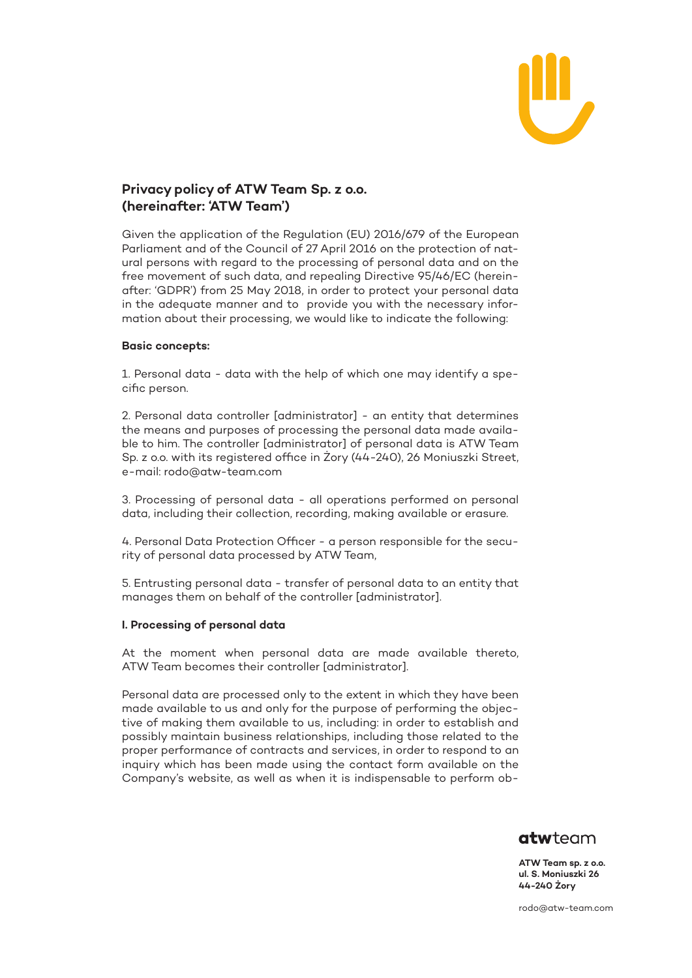

# **Privacy policy of ATW Team Sp. z o.o. (hereinafter: 'ATW Team')**

Given the application of the Regulation (EU) 2016/679 of the European Parliament and of the Council of 27 April 2016 on the protection of natural persons with regard to the processing of personal data and on the free movement of such data, and repealing Directive 95/46/EC (hereinafter: 'GDPR') from 25 May 2018, in order to protect your personal data in the adequate manner and to provide you with the necessary information about their processing, we would like to indicate the following:

# **Basic concepts:**

1. Personal data - data with the help of which one may identify a specific person.

2. Personal data controller [administrator] - an entity that determines the means and purposes of processing the personal data made available to him. The controller [administrator] of personal data is ATW Team Sp. z o.o. with its registered office in Żory (44-240), 26 Moniuszki Street, e-mail: [rodo@atw-team.com](mailto:rodo@atw-team.com)

3. Processing of personal data - all operations performed on personal data, including their collection, recording, making available or erasure.

4. Personal Data Protection Officer - a person responsible for the security of personal data processed by ATW Team,

5. Entrusting personal data - transfer of personal data to an entity that manages them on behalf of the controller [administrator].

# **I. Processing of personal data**

At the moment when personal data are made available thereto, ATW Team becomes their controller [administrator].

Personal data are processed only to the extent in which they have been made available to us and only for the purpose of performing the objective of making them available to us, including: in order to establish and possibly maintain business relationships, including those related to the proper performance of contracts and services, in order to respond to an inquiry which has been made using the contact form available on the Company's website, as well as when it is indispensable to perform ob-



**ATW Team sp. z o.o. ul. S. Moniuszki 26 44-240 Żory**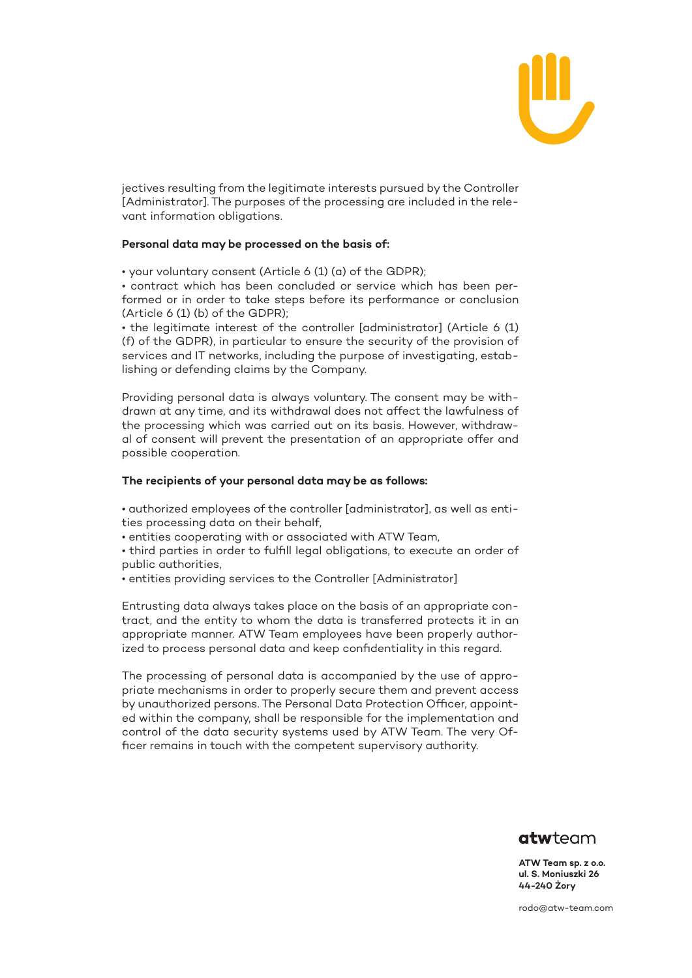

jectives resulting from the legitimate interests pursued by the Controller [Administrator]. The purposes of the processing are included in the relevant information obligations.

### **Personal data may be processed on the basis of:**

• your voluntary consent (Article 6 (1) (a) of the GDPR);

• contract which has been concluded or service which has been performed or in order to take steps before its performance or conclusion (Article 6 (1) (b) of the GDPR);

• the legitimate interest of the controller [administrator] (Article 6 (1) (f) of the GDPR), in particular to ensure the security of the provision of services and IT networks, including the purpose of investigating, establishing or defending claims by the Company.

Providing personal data is always voluntary. The consent may be withdrawn at any time, and its withdrawal does not affect the lawfulness of the processing which was carried out on its basis. However, withdrawal of consent will prevent the presentation of an appropriate offer and possible cooperation.

#### **The recipients of your personal data may be as follows:**

• authorized employees of the controller [administrator], as well as entities processing data on their behalf,

• entities cooperating with or associated with ATW Team,

• third parties in order to fulfill legal obligations, to execute an order of public authorities,

• entities providing services to the Controller [Administrator]

Entrusting data always takes place on the basis of an appropriate contract, and the entity to whom the data is transferred protects it in an appropriate manner. ATW Team employees have been properly authorized to process personal data and keep confidentiality in this regard.

The processing of personal data is accompanied by the use of appropriate mechanisms in order to properly secure them and prevent access by unauthorized persons. The Personal Data Protection Officer, appointed within the company, shall be responsible for the implementation and control of the data security systems used by ATW Team. The very Officer remains in touch with the competent supervisory authority.



**ATW Team sp. z o.o. ul. S. Moniuszki 26 44-240 Żory**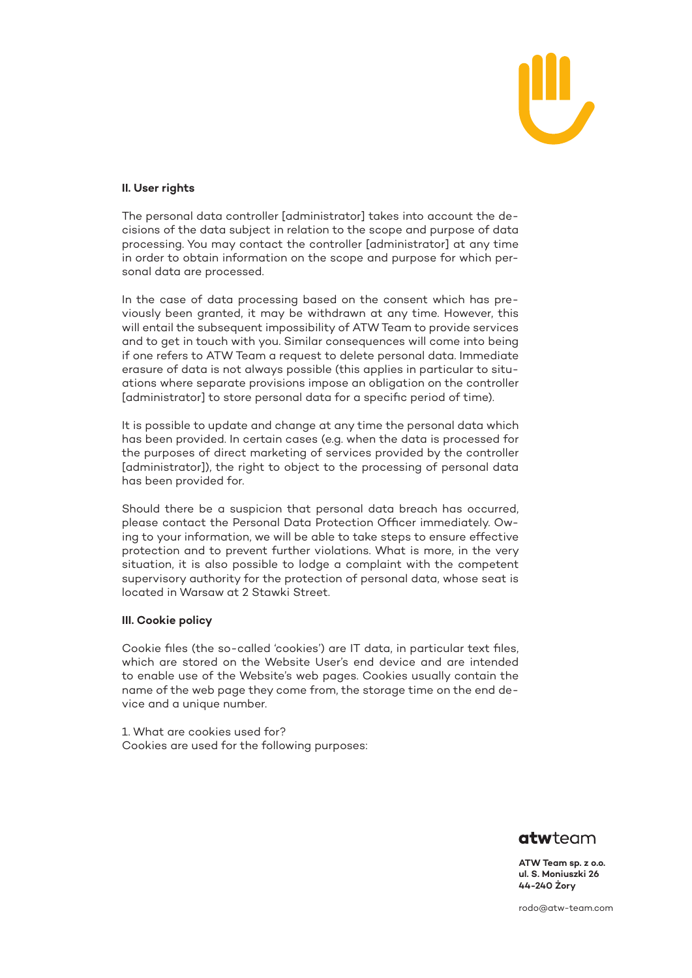

# **II. User rights**

The personal data controller [administrator] takes into account the decisions of the data subject in relation to the scope and purpose of data processing. You may contact the controller [administrator] at any time in order to obtain information on the scope and purpose for which personal data are processed.

In the case of data processing based on the consent which has previously been granted, it may be withdrawn at any time. However, this will entail the subsequent impossibility of ATW Team to provide services and to get in touch with you. Similar consequences will come into being if one refers to ATW Team a request to delete personal data. Immediate erasure of data is not always possible (this applies in particular to situations where separate provisions impose an obligation on the controller [administrator] to store personal data for a specific period of time).

It is possible to update and change at any time the personal data which has been provided. In certain cases (e.g. when the data is processed for the purposes of direct marketing of services provided by the controller [administrator]), the right to object to the processing of personal data has been provided for.

Should there be a suspicion that personal data breach has occurred, please contact the Personal Data Protection Officer immediately. Owing to your information, we will be able to take steps to ensure effective protection and to prevent further violations. What is more, in the very situation, it is also possible to lodge a complaint with the competent supervisory authority for the protection of personal data, whose seat is located in Warsaw at 2 Stawki Street.

# **III. Cookie policy**

Cookie files (the so-called 'cookies') are IT data, in particular text files, which are stored on the Website User's end device and are intended to enable use of the Website's web pages. Cookies usually contain the name of the web page they come from, the storage time on the end device and a unique number.

1. What are cookies used for? Cookies are used for the following purposes:



**ATW Team sp. z o.o. ul. S. Moniuszki 26 44-240 Żory**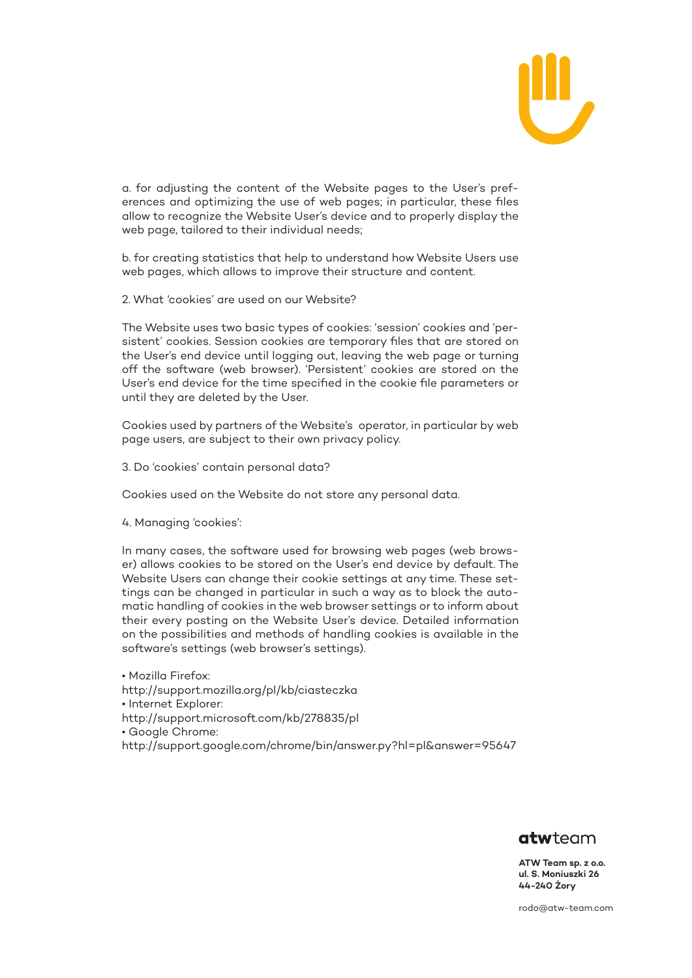

a. for adjusting the content of the Website pages to the User's preferences and optimizing the use of web pages; in particular, these files allow to recognize the Website User's device and to properly display the web page, tailored to their individual needs;

b. for creating statistics that help to understand how Website Users use web pages, which allows to improve their structure and content.

2. What 'cookies' are used on our Website?

The Website uses two basic types of cookies: 'session' cookies and 'persistent' cookies. Session cookies are temporary files that are stored on the User's end device until logging out, leaving the web page or turning off the software (web browser). 'Persistent' cookies are stored on the User's end device for the time specified in the cookie file parameters or until they are deleted by the User.

Cookies used by partners of the Website's operator, in particular by web page users, are subject to their own privacy policy.

3. Do 'cookies' contain personal data?

Cookies used on the Website do not store any personal data.

4. Managing 'cookies':

In many cases, the software used for browsing web pages (web browser) allows cookies to be stored on the User's end device by default. The Website Users can change their cookie settings at any time. These settings can be changed in particular in such a way as to block the automatic handling of cookies in the web browser settings or to inform about their every posting on the Website User's device. Detailed information on the possibilities and methods of handling cookies is available in the software's settings (web browser's settings).

• Mozilla Firefox: <http://support.mozilla.org/pl/kb/ciasteczka> • Internet Explorer: <http://support.microsoft.com/kb/278835/pl> • Google Chrome: [http://support.google.com/chrome/bin/answer.py?hl=pl&answer=95647](http://support.microsoft.com/kb/278835/pl)



**ATW Team sp. z o.o. ul. S. Moniuszki 26 44-240 Żory**